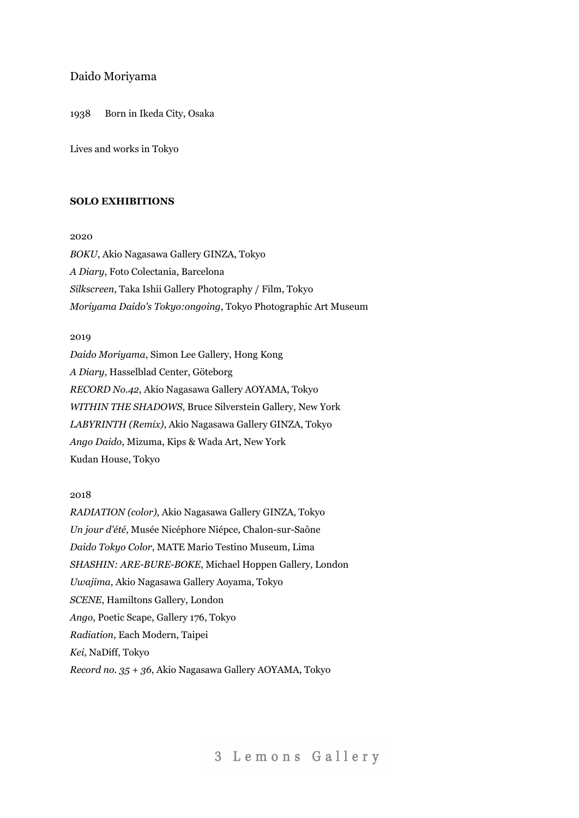# Daido Moriyama

1938 Born in Ikeda City, Osaka

Lives and works in Tokyo

#### **SOLO EXHIBITIONS**

## 2020

*BOKU*, Akio Nagasawa Gallery GINZA, Tokyo *A Diary*, Foto Colectania, Barcelona *Silkscreen*, Taka Ishii Gallery Photography / Film, Tokyo *Moriyama Daido's Tokyo:ongoing*, Tokyo Photographic Art Museum

# 2019

*Daido Moriyama*, Simon Lee Gallery, Hong Kong *A Diary*, Hasselblad Center, Göteborg *RECORD No.42*, Akio Nagasawa Gallery AOYAMA, Tokyo *WITHIN THE SHADOWS*, Bruce Silverstein Gallery, New York *LABYRINTH (Remix)*, Akio Nagasawa Gallery GINZA, Tokyo *Ango Daido*, Mizuma, Kips & Wada Art, New York Kudan House, Tokyo

# 2018

*RADIATION (color)*, Akio Nagasawa Gallery GINZA, Tokyo *Un jour d'été*, Musée Nicéphore Niépce, Chalon-sur-Saône *Daido Tokyo Color*, MATE Mario Testino Museum, Lima *SHASHIN: ARE-BURE-BOKE*, Michael Hoppen Gallery, London *Uwajima*, Akio Nagasawa Gallery Aoyama, Tokyo *SCENE*, Hamiltons Gallery, London *Ango*, Poetic Scape, Gallery 176, Tokyo *Radiation*, Each Modern, Taipei *Kei*, NaDiff, Tokyo *Record no. 35 + 36*, Akio Nagasawa Gallery AOYAMA, Tokyo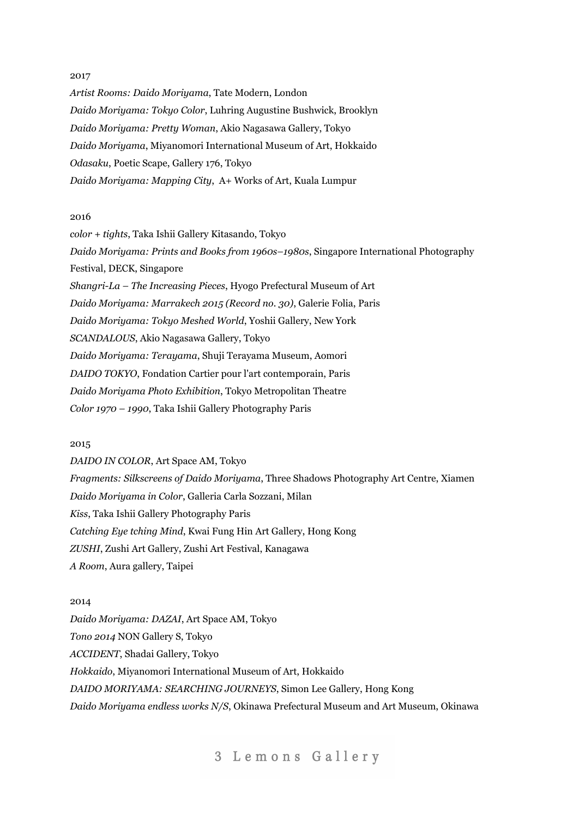*Artist Rooms: Daido Moriyama*, Tate Modern, London *Daido Moriyama: Tokyo Color*, Luhring Augustine Bushwick, Brooklyn *Daido Moriyama: Pretty Woman*, Akio Nagasawa Gallery, Tokyo *Daido Moriyama*, Miyanomori International Museum of Art, Hokkaido *Odasaku*, Poetic Scape, Gallery 176, Tokyo *Daido Moriyama: Mapping City*, A+ Works of Art, Kuala Lumpur

# 2016

*color + tights*, Taka Ishii Gallery Kitasando, Tokyo *Daido Moriyama: Prints and Books from 1960s–1980s*, Singapore International Photography Festival, DECK, Singapore *Shangri-La – The Increasing Pieces*, Hyogo Prefectural Museum of Art *Daido Moriyama: Marrakech 2015 (Record no. 30)*, Galerie Folia, Paris *Daido Moriyama: Tokyo Meshed World*, Yoshii Gallery, New York *SCANDALOUS*, Akio Nagasawa Gallery, Tokyo *Daido Moriyama: Terayama*, Shuji Terayama Museum, Aomori *DAIDO TOKYO*, Fondation Cartier pour l'art contemporain, Paris *Daido Moriyama Photo Exhibition*, Tokyo Metropolitan Theatre *Color 1970 – 1990*, Taka Ishii Gallery Photography Paris

## 2015

*DAIDO IN COLOR*, Art Space AM, Tokyo *Fragments: Silkscreens of Daido Moriyama*, Three Shadows Photography Art Centre, Xiamen *Daido Moriyama in Color*, Galleria Carla Sozzani, Milan *Kiss*, Taka Ishii Gallery Photography Paris *Catching Eye tching Mind*, Kwai Fung Hin Art Gallery, Hong Kong *ZUSHI*, Zushi Art Gallery, Zushi Art Festival, Kanagawa *A Room*, Aura gallery, Taipei

## 2014

*Daido Moriyama: DAZAI*, Art Space AM, Tokyo *Tono 2014* NON Gallery S, Tokyo *ACCIDENT*, Shadai Gallery, Tokyo *Hokkaido*, Miyanomori International Museum of Art, Hokkaido *DAIDO MORIYAMA: SEARCHING JOURNEYS*, Simon Lee Gallery, Hong Kong *Daido Moriyama endless works N/S*, Okinawa Prefectural Museum and Art Museum, Okinawa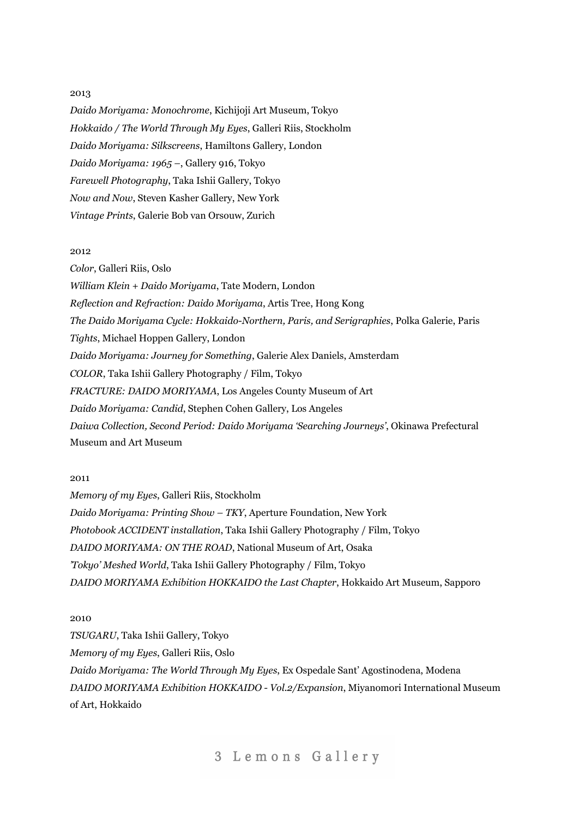*Daido Moriyama: Monochrome*, Kichijoji Art Museum, Tokyo *Hokkaido / The World Through My Eyes*, Galleri Riis, Stockholm *Daido Moriyama: Silkscreens*, Hamiltons Gallery, London *Daido Moriyama: 1965 –*, Gallery 916, Tokyo *Farewell Photography*, Taka Ishii Gallery, Tokyo *Now and Now*, Steven Kasher Gallery, New York *Vintage Prints*, Galerie Bob van Orsouw, Zurich

## 2012

*Color*, Galleri Riis, Oslo *William Klein + Daido Moriyama*, Tate Modern, London *Reflection and Refraction: Daido Moriyama*, Artis Tree, Hong Kong *The Daido Moriyama Cycle: Hokkaido-Northern, Paris, and Serigraphies*, Polka Galerie, Paris *Tights*, Michael Hoppen Gallery, London *Daido Moriyama: Journey for Something*, Galerie Alex Daniels, Amsterdam *COLOR*, Taka Ishii Gallery Photography / Film, Tokyo *FRACTURE: DAIDO MORIYAMA*, Los Angeles County Museum of Art *Daido Moriyama: Candid*, Stephen Cohen Gallery, Los Angeles *Daiwa Collection, Second Period: Daido Moriyama 'Searching Journeys'*, Okinawa Prefectural Museum and Art Museum

#### 2011

*Memory of my Eyes*, Galleri Riis, Stockholm *Daido Moriyama: Printing Show – TKY*, Aperture Foundation, New York *Photobook ACCIDENT installation*, Taka Ishii Gallery Photography / Film, Tokyo *DAIDO MORIYAMA: ON THE ROAD*, National Museum of Art, Osaka *'Tokyo' Meshed World*, Taka Ishii Gallery Photography / Film, Tokyo *DAIDO MORIYAMA Exhibition HOKKAIDO the Last Chapter*, Hokkaido Art Museum, Sapporo

#### 2010

*TSUGARU*, Taka Ishii Gallery, Tokyo *Memory of my Eyes*, Galleri Riis, Oslo *Daido Moriyama: The World Through My Eyes*, Ex Ospedale Sant' Agostinodena, Modena *DAIDO MORIYAMA Exhibition HOKKAIDO - Vol.2/Expansion*, Miyanomori International Museum of Art, Hokkaido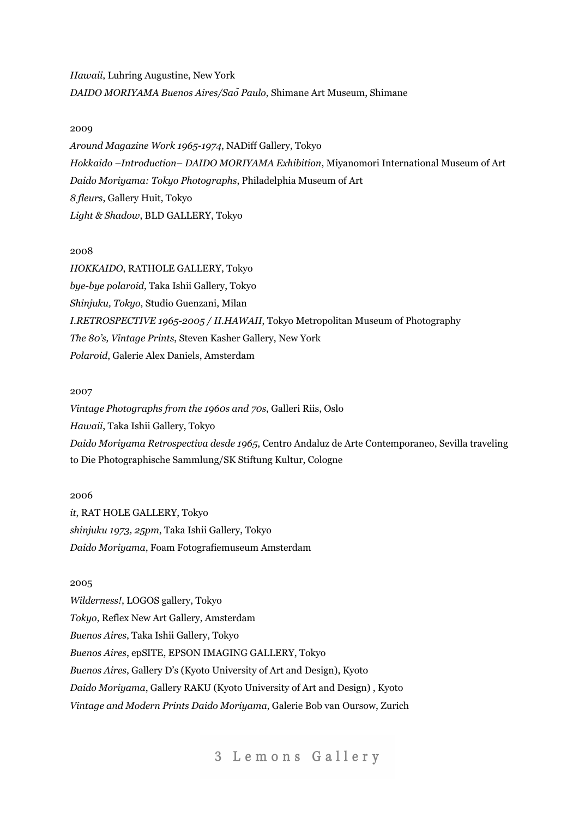*Hawaii*, Luhring Augustine, New York *DAIDO MORIYAMA Buenos Aires/SaõPaulo*, Shimane Art Museum, Shimane

#### 2009

*Around Magazine Work 1965-1974*, NADiff Gallery, Tokyo *Hokkaido –Introduction– DAIDO MORIYAMA Exhibition*, Miyanomori International Museum of Art *Daido Moriyama: Tokyo Photographs*, Philadelphia Museum of Art *8 fleurs*, Gallery Huit, Tokyo *Light & Shadow*, BLD GALLERY, Tokyo

#### 2008

*HOKKAIDO*, RATHOLE GALLERY, Tokyo *bye-bye polaroid*, Taka Ishii Gallery, Tokyo *Shinjuku, Tokyo*, Studio Guenzani, Milan *I.RETROSPECTIVE 1965-2005 / II.HAWAII*, Tokyo Metropolitan Museum of Photography *The 80's, Vintage Prints*, Steven Kasher Gallery, New York *Polaroid*, Galerie Alex Daniels, Amsterdam

#### 2007

*Vintage Photographs from the 1960s and 70s*, Galleri Riis, Oslo *Hawaii*, Taka Ishii Gallery, Tokyo *Daido Moriyama Retrospectiva desde 1965*, Centro Andaluz de Arte Contemporaneo, Sevilla traveling to Die Photographische Sammlung/SK Stiftung Kultur, Cologne

## 2006

*it*, RAT HOLE GALLERY, Tokyo *shinjuku 1973, 25pm*, Taka Ishii Gallery, Tokyo *Daido Moriyama*, Foam Fotografiemuseum Amsterdam

### 2005

*Wilderness!*, LOGOS gallery, Tokyo *Tokyo*, Reflex New Art Gallery, Amsterdam *Buenos Aires*, Taka Ishii Gallery, Tokyo *Buenos Aires*, epSITE, EPSON IMAGING GALLERY, Tokyo *Buenos Aires*, Gallery D's (Kyoto University of Art and Design), Kyoto *Daido Moriyama*, Gallery RAKU (Kyoto University of Art and Design) , Kyoto *Vintage and Modern Prints Daido Moriyama*, Galerie Bob van Oursow, Zurich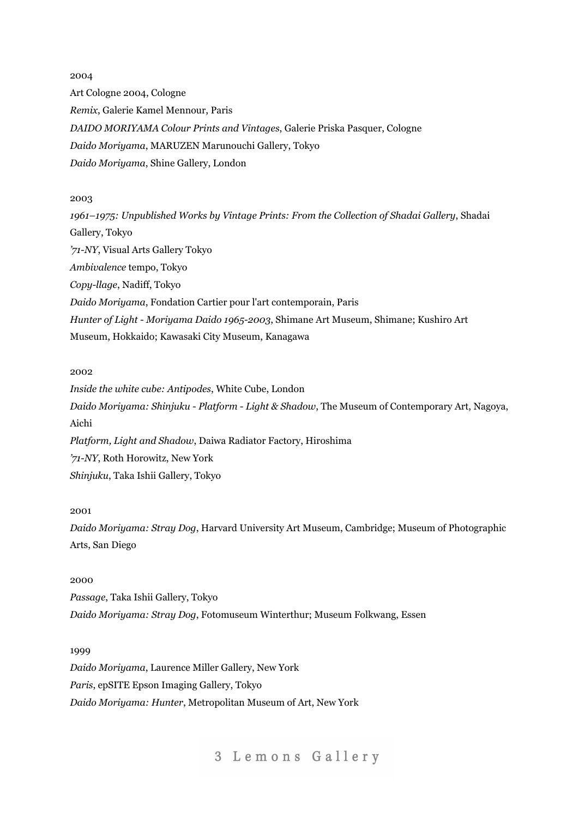2004 Art Cologne 2004, Cologne *Remix*, Galerie Kamel Mennour, Paris *DAIDO MORIYAMA Colour Prints and Vintages*, Galerie Priska Pasquer, Cologne *Daido Moriyama*, MARUZEN Marunouchi Gallery, Tokyo *Daido Moriyama*, Shine Gallery, London

2003

*1961–1975: Unpublished Works by Vintage Prints: From the Collection of Shadai Gallery*, Shadai Gallery, Tokyo *'71-NY*, Visual Arts Gallery Tokyo *Ambivalence* tempo, Tokyo *Copy-llage*, Nadiff, Tokyo *Daido Moriyama*, Fondation Cartier pour l'art contemporain, Paris *Hunter of Light - Moriyama Daido 1965-2003*, Shimane Art Museum, Shimane; Kushiro Art Museum, Hokkaido; Kawasaki City Museum, Kanagawa

#### 2002

*Inside the white cube: Antipodes*, White Cube, London *Daido Moriyama: Shinjuku - Platform - Light & Shadow*, The Museum of Contemporary Art, Nagoya, Aichi *Platform, Light and Shadow*, Daiwa Radiator Factory, Hiroshima *'71-NY*, Roth Horowitz, New York *Shinjuku*, Taka Ishii Gallery, Tokyo

# 2001

*Daido Moriyama: Stray Dog*, Harvard University Art Museum, Cambridge; Museum of Photographic Arts, San Diego

#### 2000

*Passage*, Taka Ishii Gallery, Tokyo *Daido Moriyama: Stray Dog*, Fotomuseum Winterthur; Museum Folkwang, Essen

#### 1999

*Daido Moriyama*, Laurence Miller Gallery, New York *Paris*, epSITE Epson Imaging Gallery, Tokyo *Daido Moriyama: Hunter*, Metropolitan Museum of Art, New York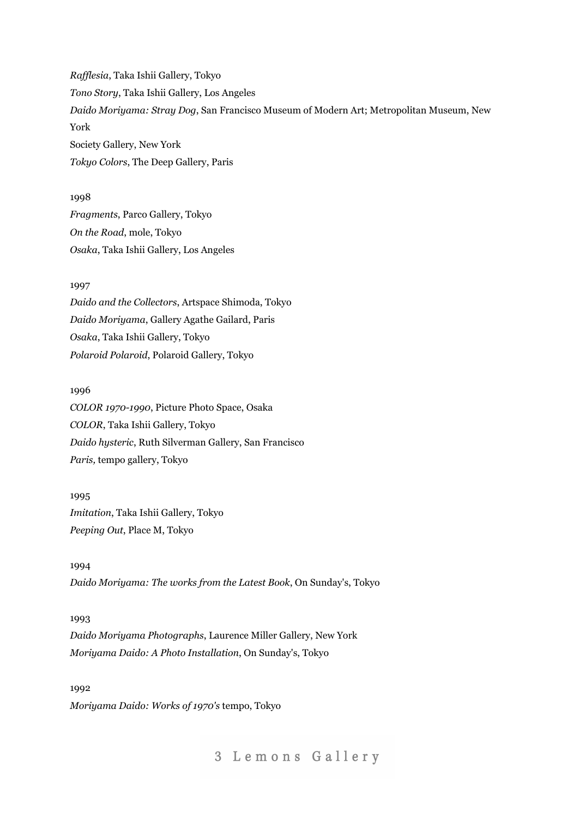*Raf lesia*, Taka Ishii Gallery, Tokyo *Tono Story*, Taka Ishii Gallery, Los Angeles *Daido Moriyama: Stray Dog*, San Francisco Museum of Modern Art; Metropolitan Museum, New York Society Gallery, New York *Tokyo Colors*, The Deep Gallery, Paris

1998 *Fragments*, Parco Gallery, Tokyo *On the Road*, mole, Tokyo *Osaka*, Taka Ishii Gallery, Los Angeles

#### 1997

*Daido and the Collectors*, Artspace Shimoda, Tokyo *Daido Moriyama*, Gallery Agathe Gailard, Paris *Osaka*, Taka Ishii Gallery, Tokyo *Polaroid Polaroid*, Polaroid Gallery, Tokyo

## 1996

*COLOR 1970-1990*, Picture Photo Space, Osaka *COLOR*, Taka Ishii Gallery, Tokyo *Daido hysteric*, Ruth Silverman Gallery, San Francisco *Paris,* tempo gallery, Tokyo

1995 *Imitation*, Taka Ishii Gallery, Tokyo *Peeping Out*, Place M, Tokyo

1994 *Daido Moriyama: The works from the Latest Book*, On Sunday's, Tokyo

1993 *Daido Moriyama Photographs*, Laurence Miller Gallery, New York *Moriyama Daido: A Photo Installation*, On Sunday's, Tokyo

1992 *Moriyama Daido: Works of 1970's* tempo, Tokyo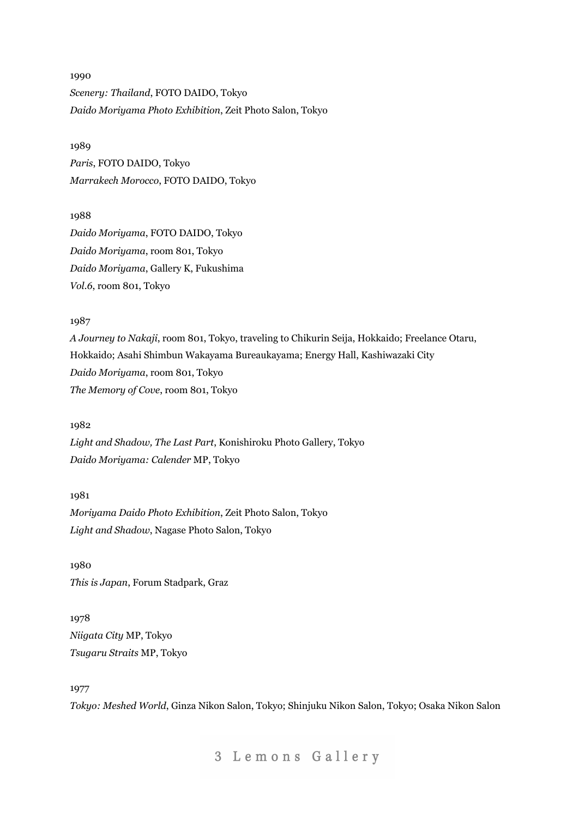1990 *Scenery: Thailand*, FOTO DAIDO, Tokyo *Daido Moriyama Photo Exhibition*, Zeit Photo Salon, Tokyo

1989 *Paris*, FOTO DAIDO, Tokyo *Marrakech Morocco*, FOTO DAIDO, Tokyo

1988 *Daido Moriyama*, FOTO DAIDO, Tokyo *Daido Moriyama*, room 801, Tokyo *Daido Moriyama*, Gallery K, Fukushima *Vol.6*, room 801, Tokyo

1987

*A Journey to Nakaji*, room 801, Tokyo, traveling to Chikurin Seija, Hokkaido; Freelance Otaru, Hokkaido; Asahi Shimbun Wakayama Bureaukayama; Energy Hall, Kashiwazaki City *Daido Moriyama*, room 801, Tokyo *The Memory of Cove*, room 801, Tokyo

1982

*Light and Shadow, The Last Part*, Konishiroku Photo Gallery, Tokyo *Daido Moriyama: Calender* MP, Tokyo

1981 *Moriyama Daido Photo Exhibition*, Zeit Photo Salon, Tokyo *Light and Shadow*, Nagase Photo Salon, Tokyo

1980 *This is Japan*, Forum Stadpark, Graz

1978 *Niigata City* MP, Tokyo *Tsugaru Straits* MP, Tokyo

1977

*Tokyo: Meshed World*, Ginza Nikon Salon, Tokyo; Shinjuku Nikon Salon, Tokyo; Osaka Nikon Salon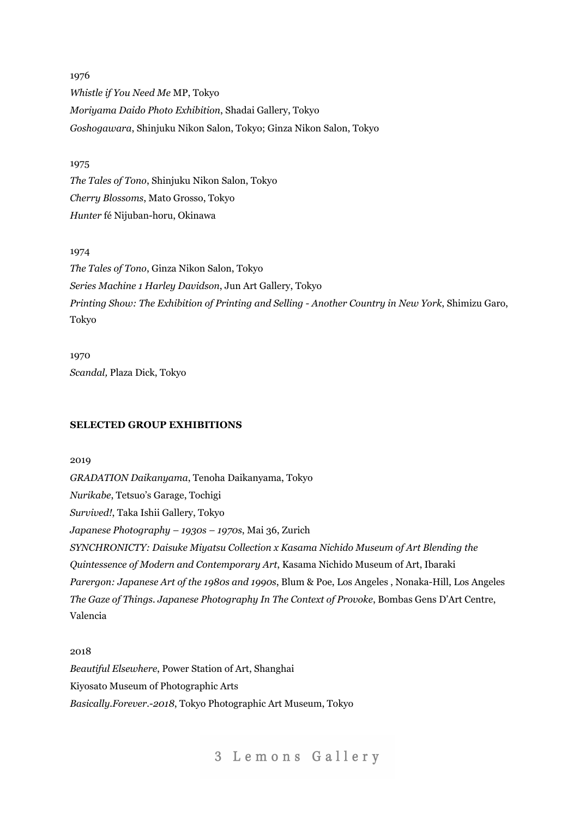1976 *Whistle if You Need Me* MP, Tokyo *Moriyama Daido Photo Exhibition*, Shadai Gallery, Tokyo *Goshogawara*, Shinjuku Nikon Salon, Tokyo; Ginza Nikon Salon, Tokyo

## 1975

*The Tales of Tono*, Shinjuku Nikon Salon, Tokyo *Cherry Blossoms*, Mato Grosso, Tokyo *Hunter* fé Nijuban-horu, Okinawa

# 1974

*The Tales of Tono*, Ginza Nikon Salon, Tokyo *Series Machine 1 Harley Davidson*, Jun Art Gallery, Tokyo *Printing Show: The Exhibition of Printing and Selling - Another Country in New York*, Shimizu Garo, Tokyo

1970 *Scandal,* Plaza Dick, Tokyo

# **SELECTED GROUP EXHIBITIONS**

2019 *GRADATION Daikanyama*, Tenoha Daikanyama, Tokyo *Nurikabe*, Tetsuo's Garage, Tochigi *Survived!*, Taka Ishii Gallery, Tokyo *Japanese Photography – 1930s – 1970s*, Mai 36, Zurich *SYNCHRONICTY: Daisuke Miyatsu Collection x Kasama Nichido Museum of Art Blending the Quintessence of Modern and Contemporary Art*, Kasama Nichido Museum of Art, Ibaraki *Parergon: Japanese Art of the 1980s and 1990s*, Blum & Poe, Los Angeles , Nonaka-Hill, Los Angeles *The Gaze of Things. Japanese Photography In The Context of Provoke*, Bombas Gens D'Art Centre, Valencia

2018 *Beautiful Elsewhere*, Power Station of Art, Shanghai Kiyosato Museum of Photographic Arts *Basically.Forever.*-*2018*, Tokyo Photographic Art Museum, Tokyo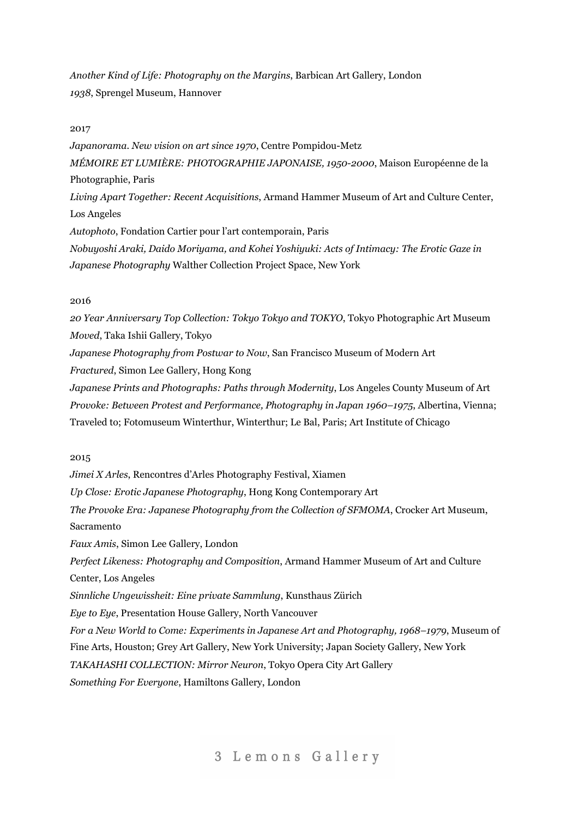*Another Kind of Life: Photography on the Margins*, Barbican Art Gallery, London *1938*, Sprengel Museum, Hannover

#### 2017

*Japanorama. New vision on art since 1970*, Centre Pompidou-Metz *MÉMOIRE ET LUMIÈRE: PHOTOGRAPHIE JAPONAISE, 1950-2000*, Maison Européenne de la Photographie, Paris *Living Apart Together: Recent Acquisitions*, Armand Hammer Museum of Art and Culture Center, Los Angeles *Autophoto*, Fondation Cartier pour l'art contemporain, Paris *Nobuyoshi Araki, Daido Moriyama, and Kohei Yoshiyuki: Acts of Intimacy: The Erotic Gaze in Japanese Photography* Walther Collection Project Space, New York

#### 2016

*20 Year Anniversary Top Collection: Tokyo Tokyo and TOKYO*, Tokyo Photographic Art Museum *Moved*, Taka Ishii Gallery, Tokyo

*Japanese Photography from Postwar to Now*, San Francisco Museum of Modern Art

*Fractured*, Simon Lee Gallery, Hong Kong

*Japanese Prints and Photographs: Paths through Modernity*, Los Angeles County Museum of Art *Provoke: Between Protest and Performance, Photography in Japan 1960–1975*, Albertina, Vienna; Traveled to; Fotomuseum Winterthur, Winterthur; Le Bal, Paris; Art Institute of Chicago

2015

*Jimei X Arles*, Rencontres d'Arles Photography Festival, Xiamen

*Up Close: Erotic Japanese Photography*, Hong Kong Contemporary Art

*The Provoke Era: Japanese Photography from the Collection of SFMOMA*, Crocker Art Museum, Sacramento

*Faux Amis*, Simon Lee Gallery, London

*Perfect Likeness: Photography and Composition*, Armand Hammer Museum of Art and Culture Center, Los Angeles

*Sinnliche Ungewissheit: Eine private Sammlung*, Kunsthaus Zürich

*Eye to Eye*, Presentation House Gallery, North Vancouver

*For a New World to Come: Experiments in Japanese Art and Photography, 1968–1979*, Museum of

Fine Arts, Houston; Grey Art Gallery, New York University; Japan Society Gallery, New York

*TAKAHASHI COLLECTION: Mirror Neuron*, Tokyo Opera City Art Gallery

*Something For Everyone*, Hamiltons Gallery, London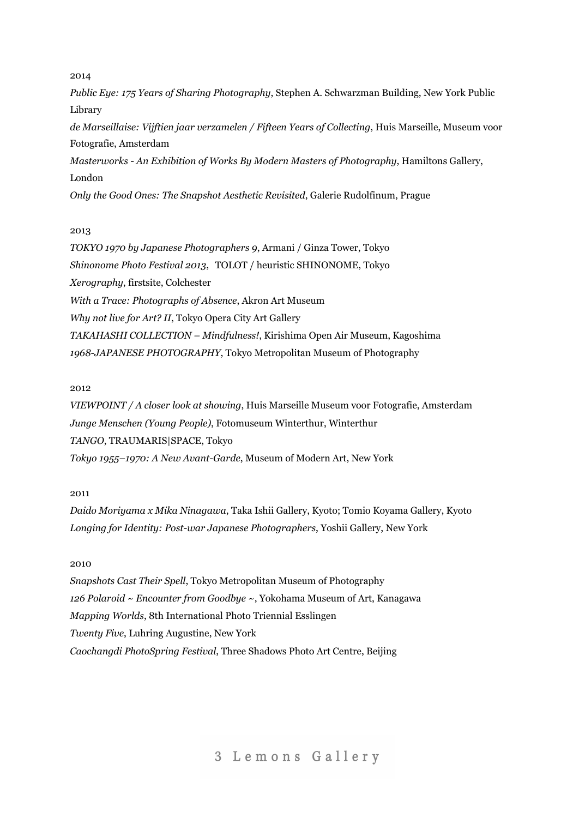*Public Eye: 175 Years of Sharing Photography*, Stephen A. Schwarzman Building, New York Public Library

*de Marseillaise: Vijftien jaar verzamelen / Fifteen Years of Collecting*, Huis Marseille, Museum voor Fotografie, Amsterdam

*Masterworks - An Exhibition of Works By Modern Masters of Photography*, Hamiltons Gallery, London

*Only the Good Ones: The Snapshot Aesthetic Revisited*, Galerie Rudolfinum, Prague

#### 2013

*TOKYO 1970 by Japanese Photographers 9*, Armani / Ginza Tower, Tokyo *Shinonome Photo Festival 2013*, TOLOT / heuristic SHINONOME, Tokyo *Xerography*, firstsite, Colchester *With a Trace: Photographs of Absence*, Akron Art Museum *Why not live for Art? II*, Tokyo Opera City Art Gallery *TAKAHASHI COLLECTION – Mindfulness!*, Kirishima Open Air Museum, Kagoshima *1968-JAPANESE PHOTOGRAPHY*, Tokyo Metropolitan Museum of Photography

## 2012

*VIEWPOINT / A closer look at showing*, Huis Marseille Museum voor Fotografie, Amsterdam *Junge Menschen (Young People)*, Fotomuseum Winterthur, Winterthur *TANGO*, TRAUMARIS|SPACE, Tokyo *Tokyo 1955–1970: A New Avant-Garde*, Museum of Modern Art, New York

## 2011

*Daido Moriyama x Mika Ninagawa*, Taka Ishii Gallery, Kyoto; Tomio Koyama Gallery, Kyoto *Longing for Identity: Post-war Japanese Photographers*, Yoshii Gallery, New York

## 2010

*Snapshots Cast Their Spell*, Tokyo Metropolitan Museum of Photography *126 Polaroid ~ Encounter from Goodbye ~*, Yokohama Museum of Art, Kanagawa *Mapping Worlds*, 8th International Photo Triennial Esslingen *Twenty Five*, Luhring Augustine, New York *Caochangdi PhotoSpring Festival*, Three Shadows Photo Art Centre, Beijing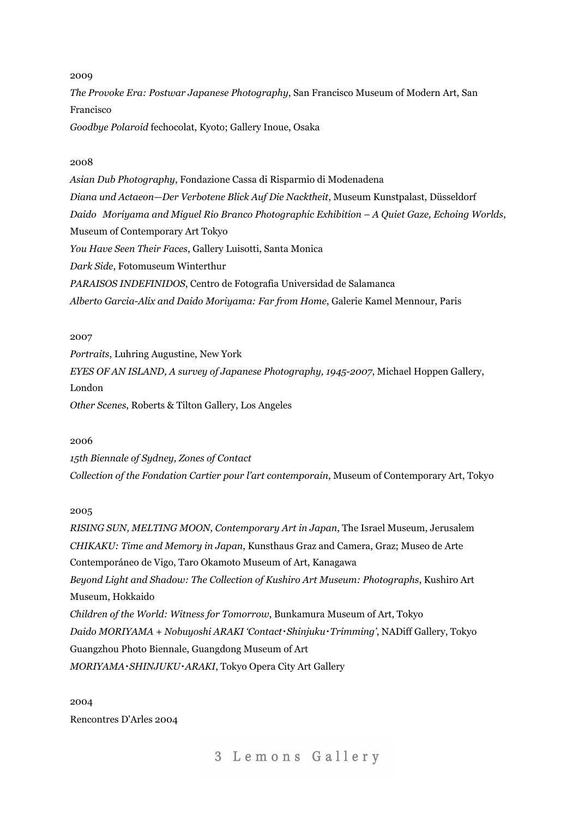*The Provoke Era: Postwar Japanese Photography*, San Francisco Museum of Modern Art, San Francisco

*Goodbye Polaroid* fechocolat, Kyoto; Gallery Inoue, Osaka

## 2008

*Asian Dub Photography*, Fondazione Cassa di Risparmio di Modenadena *Diana und Actaeon—Der Verbotene Blick Auf Die Nacktheit*, Museum Kunstpalast, Düsseldorf *Daido Moriyama and Miguel Rio Branco Photographic Exhibition – A Quiet Gaze, Echoing Worlds*, Museum of Contemporary Art Tokyo *You Have Seen Their Faces*, Gallery Luisotti, Santa Monica *Dark Side*, Fotomuseum Winterthur *PARAISOS INDEFINIDOS*, Centro de Fotografia Universidad de Salamanca *Alberto Garcia-Alix and Daido Moriyama: Far from Home*, Galerie Kamel Mennour, Paris

2007

*Portraits*, Luhring Augustine, New York *EYES OF AN ISLAND, A survey of Japanese Photography, 1945-2007*, Michael Hoppen Gallery, London *Other Scenes*, Roberts & Tilton Gallery, Los Angeles

2006

*15th Biennale of Sydney, Zones of Contact Collection of the Fondation Cartier pour l'art contemporain*, Museum of Contemporary Art, Tokyo

2005

*RISING SUN, MELTING MOON, Contemporary Art in Japan*, The Israel Museum, Jerusalem *CHIKAKU: Time and Memory in Japan*, Kunsthaus Graz and Camera, Graz; Museo de Arte Contemporáneo de Vigo, Taro Okamoto Museum of Art, Kanagawa *Beyond Light and Shadow: The Collection of Kushiro Art Museum: Photographs*, Kushiro Art Museum, Hokkaido *Children of the World: Witness for Tomorrow*, Bunkamura Museum of Art, Tokyo *Daido MORIYAMA + Nobuyoshi ARAKI 'Contact*・*Shinjuku*・*Trimming'*, NADiff Gallery, Tokyo Guangzhou Photo Biennale, Guangdong Museum of Art *MORIYAMA*・*SHINJUKU*・*ARAKI*, Tokyo Opera City Art Gallery

2004 Rencontres D'Arles 2004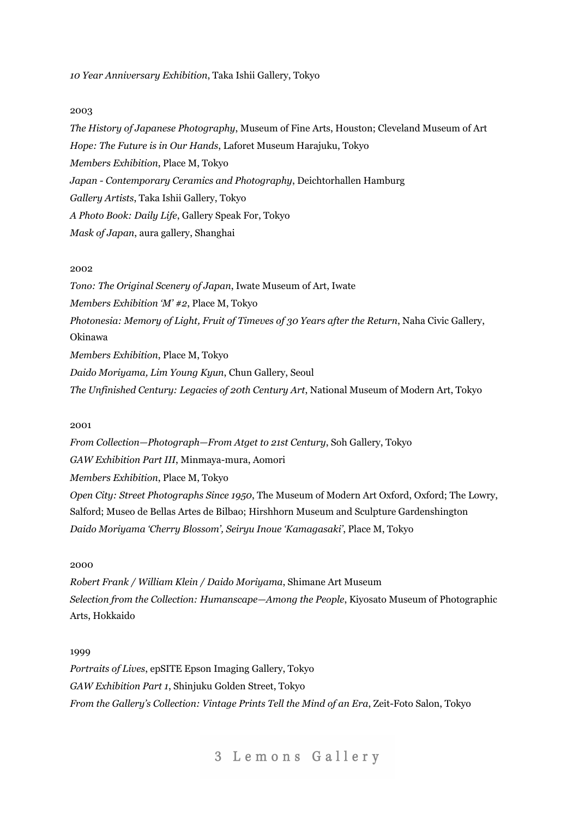*10 Year Anniversary Exhibition*, Taka Ishii Gallery, Tokyo

#### 2003

*The History of Japanese Photography*, Museum of Fine Arts, Houston; Cleveland Museum of Art *Hope: The Future is in Our Hands*, Laforet Museum Harajuku, Tokyo *Members Exhibition*, Place M, Tokyo *Japan - Contemporary Ceramics and Photography*, Deichtorhallen Hamburg *Gallery Artists*, Taka Ishii Gallery, Tokyo *A Photo Book: Daily Life*, Gallery Speak For, Tokyo *Mask of Japan*, aura gallery, Shanghai

#### 2002

*Tono: The Original Scenery of Japan*, Iwate Museum of Art, Iwate *Members Exhibition 'M' #2*, Place M, Tokyo *Photonesia: Memory of Light, Fruit of Timeves of 30 Years after the Return*, Naha Civic Gallery, Okinawa *Members Exhibition*, Place M, Tokyo *Daido Moriyama, Lim Young Kyun*, Chun Gallery, Seoul *The Unfinished Century: Legacies of 20th Century Art*, National Museum of Modern Art, Tokyo

#### 2001

*From Collection—Photograph—From Atget to 21st Century*, Soh Gallery, Tokyo *GAW Exhibition Part III*, Minmaya-mura, Aomori *Members Exhibition*, Place M, Tokyo *Open City: Street Photographs Since 1950*, The Museum of Modern Art Oxford, Oxford; The Lowry, Salford; Museo de Bellas Artes de Bilbao; Hirshhorn Museum and Sculpture Gardenshington *Daido Moriyama 'Cherry Blossom', Seiryu Inoue 'Kamagasaki'*, Place M, Tokyo

#### 2000

*Robert Frank / William Klein / Daido Moriyama*, Shimane Art Museum *Selection from the Collection: Humanscape—Among the People*, Kiyosato Museum of Photographic Arts, Hokkaido

#### 1999

*Portraits of Lives*, epSITE Epson Imaging Gallery, Tokyo *GAW Exhibition Part 1*, Shinjuku Golden Street, Tokyo *From the Gallery's Collection: Vintage Prints Tell the Mind of an Era*, Zeit-Foto Salon, Tokyo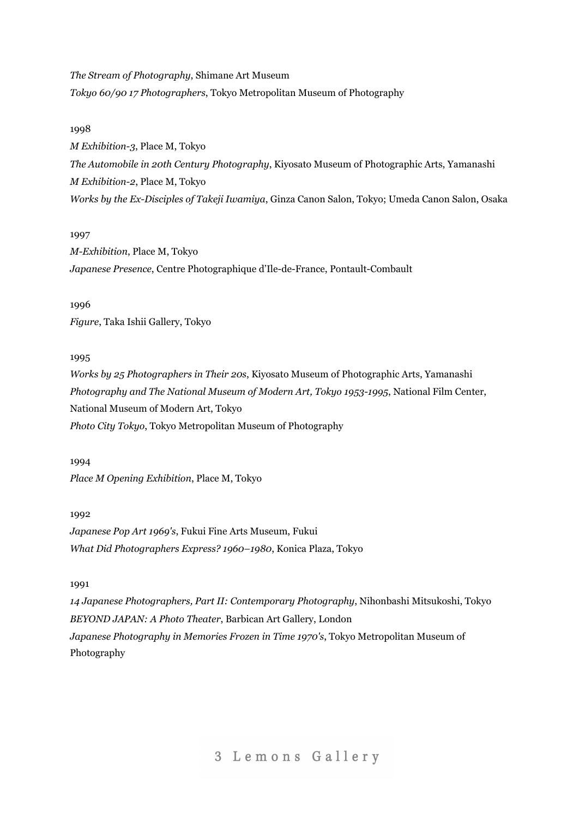*The Stream of Photography*, Shimane Art Museum *Tokyo 60/90 17 Photographers*, Tokyo Metropolitan Museum of Photography

# 1998

*M Exhibition-3*, Place M, Tokyo *The Automobile in 20th Century Photography*, Kiyosato Museum of Photographic Arts, Yamanashi *M Exhibition-2*, Place M, Tokyo *Works by the Ex-Disciples of Takeji Iwamiya*, Ginza Canon Salon, Tokyo; Umeda Canon Salon, Osaka

# 1997

*M-Exhibition*, Place M, Tokyo *Japanese Presence*, Centre Photographique d'Ile-de-France, Pontault-Combault

1996

*Figure*, Taka Ishii Gallery, Tokyo

# 1995

*Works by 25 Photographers in Their 20s*, Kiyosato Museum of Photographic Arts, Yamanashi *Photography and The National Museum of Modern Art, Tokyo 1953-1995*, National Film Center, National Museum of Modern Art, Tokyo *Photo City Tokyo*, Tokyo Metropolitan Museum of Photography

1994 *Place M Opening Exhibition*, Place M, Tokyo

1992

*Japanese Pop Art 1969's*, Fukui Fine Arts Museum, Fukui *What Did Photographers Express? 1960–1980*, Konica Plaza, Tokyo

# 1991

*14 Japanese Photographers, Part II: Contemporary Photography*, Nihonbashi Mitsukoshi, Tokyo *BEYOND JAPAN: A Photo Theater*, Barbican Art Gallery, London *Japanese Photography in Memories Frozen in Time 1970's*, Tokyo Metropolitan Museum of Photography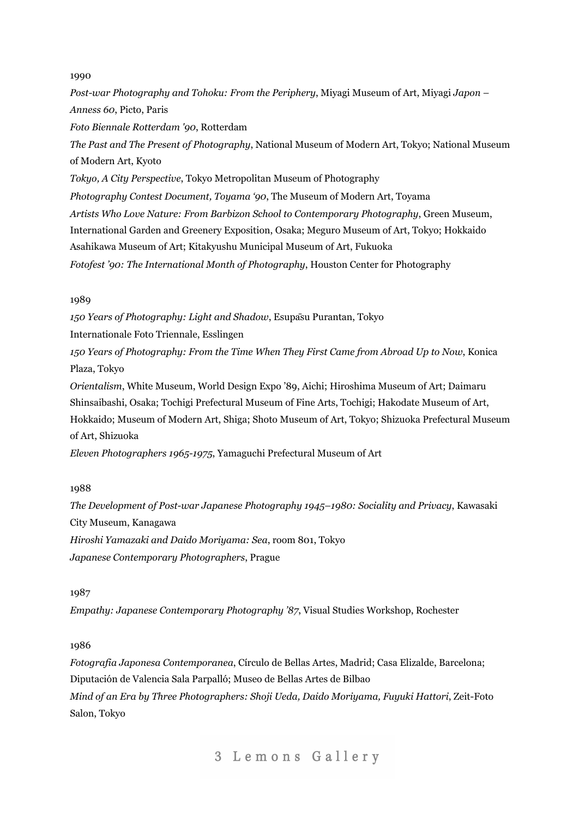*Post-war Photography and Tohoku: From the Periphery*, Miyagi Museum of Art, Miyagi *Japon – Anness 60*, Picto, Paris *Foto Biennale Rotterdam '90*, Rotterdam *The Past and The Present of Photography*, National Museum of Modern Art, Tokyo; National Museum of Modern Art, Kyoto *Tokyo, A City Perspective*, Tokyo Metropolitan Museum of Photography *Photography Contest Document, Toyama '90*, The Museum of Modern Art, Toyama *Artists Who Love Nature: From Barbizon School to Contemporary Photography*, Green Museum, International Garden and Greenery Exposition, Osaka; Meguro Museum of Art, Tokyo; Hokkaido Asahikawa Museum of Art; Kitakyushu Municipal Museum of Art, Fukuoka *Fotofest '90: The International Month of Photography*, Houston Center for Photography

# 1989

*150 Years of Photography: Light and Shadow*, Esupāsu Purantan, Tokyo

Internationale Foto Triennale, Esslingen

*150 Years of Photography: From the Time When They First Came from Abroad Up to Now*, Konica Plaza, Tokyo

*Orientalism*, White Museum, World Design Expo '89, Aichi; Hiroshima Museum of Art; Daimaru Shinsaibashi, Osaka; Tochigi Prefectural Museum of Fine Arts, Tochigi; Hakodate Museum of Art, Hokkaido; Museum of Modern Art, Shiga; Shoto Museum of Art, Tokyo; Shizuoka Prefectural Museum of Art, Shizuoka

*Eleven Photographers 1965-1975*, Yamaguchi Prefectural Museum of Art

1988

*The Development of Post-war Japanese Photography 1945–1980: Sociality and Privacy*, Kawasaki City Museum, Kanagawa *Hiroshi Yamazaki and Daido Moriyama: Sea*, room 801, Tokyo *Japanese Contemporary Photographers*, Prague

1987

*Empathy: Japanese Contemporary Photography '87*, Visual Studies Workshop, Rochester

# 1986

*Fotografia Japonesa Contemporanea*, Círculo de Bellas Artes, Madrid; Casa Elizalde, Barcelona; Diputación de Valencia Sala Parpalló; Museo de Bellas Artes de Bilbao *Mind of an Era by Three Photographers: Shoji Ueda, Daido Moriyama, Fuyuki Hattori*, Zeit-Foto Salon, Tokyo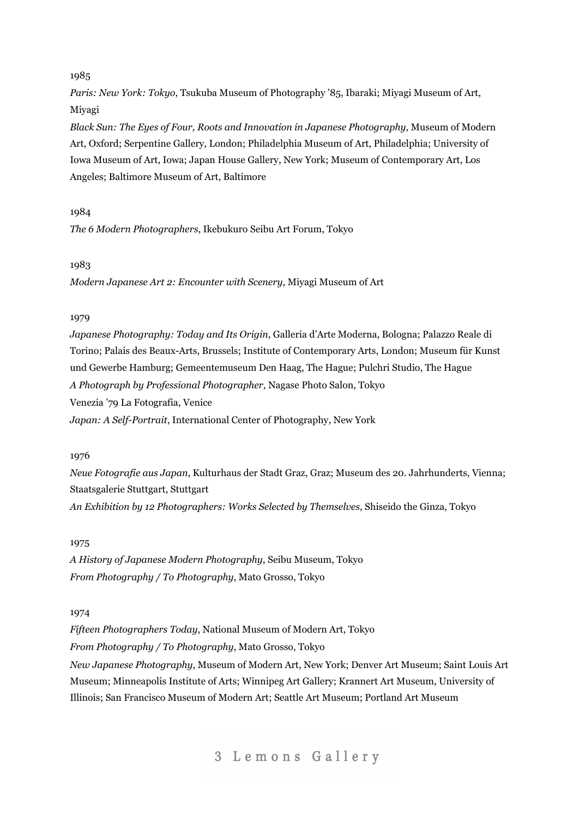*Paris: New York: Tokyo*, Tsukuba Museum of Photography '85, Ibaraki; Miyagi Museum of Art, Miyagi

*Black Sun: The Eyes of Four, Roots and Innovation in Japanese Photography*, Museum of Modern Art, Oxford; Serpentine Gallery, London; Philadelphia Museum of Art, Philadelphia; University of Iowa Museum of Art, Iowa; Japan House Gallery, New York; Museum of Contemporary Art, Los Angeles; Baltimore Museum of Art, Baltimore

## 1984

*The 6 Modern Photographers*, Ikebukuro Seibu Art Forum, Tokyo

#### 1983

*Modern Japanese Art 2: Encounter with Scenery*, Miyagi Museum of Art

# 1979

*Japanese Photography: Today and Its Origin*, Galleria d'Arte Moderna, Bologna; Palazzo Reale di Torino; Palais des Beaux-Arts, Brussels; Institute of Contemporary Arts, London; Museum für Kunst und Gewerbe Hamburg; Gemeentemuseum Den Haag, The Hague; Pulchri Studio, The Hague *A Photograph by Professional Photographer*, Nagase Photo Salon, Tokyo Venezia '79 La Fotografia, Venice

*Japan: A Self-Portrait*, International Center of Photography, New York

## 1976

*Neue Fotografie aus Japan*, Kulturhaus der Stadt Graz, Graz; Museum des 20. Jahrhunderts, Vienna; Staatsgalerie Stuttgart, Stuttgart

*An Exhibition by 12 Photographers: Works Selected by Themselves*, Shiseido the Ginza, Tokyo

## 1975

*A History of Japanese Modern Photography*, Seibu Museum, Tokyo *From Photography / To Photography*, Mato Grosso, Tokyo

### 1974

*Fifteen Photographers Today*, National Museum of Modern Art, Tokyo *From Photography / To Photography*, Mato Grosso, Tokyo

*New Japanese Photography*, Museum of Modern Art, New York; Denver Art Museum; Saint Louis Art Museum; Minneapolis Institute of Arts; Winnipeg Art Gallery; Krannert Art Museum, University of Illinois; San Francisco Museum of Modern Art; Seattle Art Museum; Portland Art Museum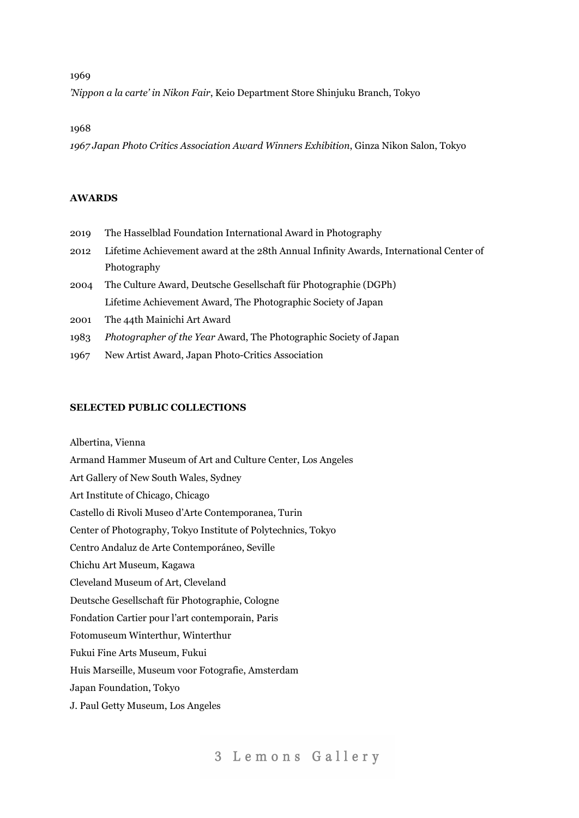*'Nippon a la carte' in Nikon Fair*, Keio Department Store Shinjuku Branch, Tokyo

#### 1968

*1967 Japan Photo Critics Association Award Winners Exhibition*, Ginza Nikon Salon, Tokyo

## **AWARDS**

- 2019 The Hasselblad Foundation International Award in Photography
- 2012 Lifetime Achievement award at the 28th Annual Infinity Awards, International Center of Photography
- 2004 The Culture Award, Deutsche Gesellschaft für Photographie (DGPh) Lifetime Achievement Award, The Photographic Society of Japan
- 2001 The 44th Mainichi Art Award
- 1983 *Photographer of the Year* Award, The Photographic Society of Japan
- 1967 New Artist Award, Japan Photo-Critics Association

## **SELECTED PUBLIC COLLECTIONS**

Albertina, Vienna Armand Hammer Museum of Art and Culture Center, Los Angeles Art Gallery of New South Wales, Sydney Art Institute of Chicago, Chicago Castello di Rivoli Museo d'Arte Contemporanea, Turin Center of Photography, Tokyo Institute of Polytechnics, Tokyo Centro Andaluz de Arte Contemporáneo, Seville Chichu Art Museum, Kagawa Cleveland Museum of Art, Cleveland Deutsche Gesellschaft für Photographie, Cologne Fondation Cartier pour l'art contemporain, Paris Fotomuseum Winterthur, Winterthur Fukui Fine Arts Museum, Fukui Huis Marseille, Museum voor Fotografie, Amsterdam Japan Foundation, Tokyo J. Paul Getty Museum, Los Angeles